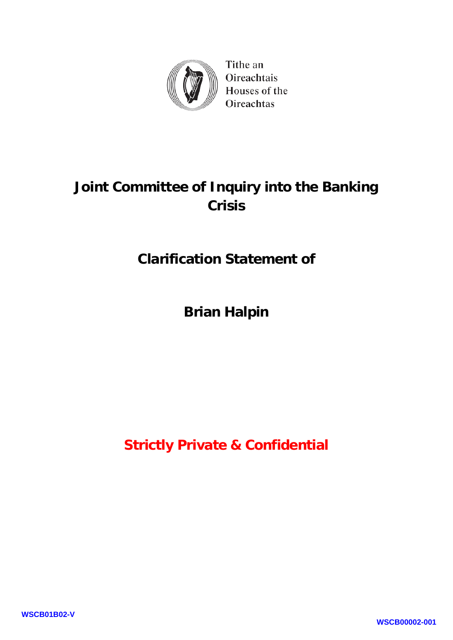

Tithe an Oireachtais Houses of the Oireachtas

## **Joint Committee of Inquiry into the Banking Crisis**

### **Clarification Statement of**

**Brian Halpin**

**Strictly Private & Confidential**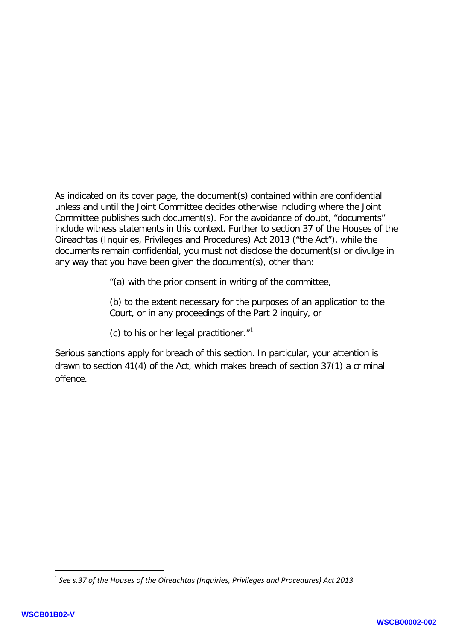As indicated on its cover page, the document(s) contained within are confidential unless and until the Joint Committee decides otherwise including where the Joint Committee publishes such document(s). For the avoidance of doubt, "documents" include witness statements in this context. Further to section 37 of the Houses of the Oireachtas (Inquiries, Privileges and Procedures) Act 2013 ("the Act"), while the documents remain confidential, you must not disclose the document(s) or divulge in any way that you have been given the document(s), other than:

"(a) with the prior consent in writing of the committee,

(b) to the extent necessary for the purposes of an application to the Court, or in any proceedings of the Part 2 inquiry, or

(c) to his or her legal practitioner. $1$ <sup>1</sup>

Serious sanctions apply for breach of this section. In particular, your attention is drawn to section 41(4) of the Act, which makes breach of section 37(1) a criminal offence.

**.** 

<span id="page-1-0"></span><sup>1</sup> *See s.37 of the Houses of the Oireachtas (Inquiries, Privileges and Procedures) Act 2013*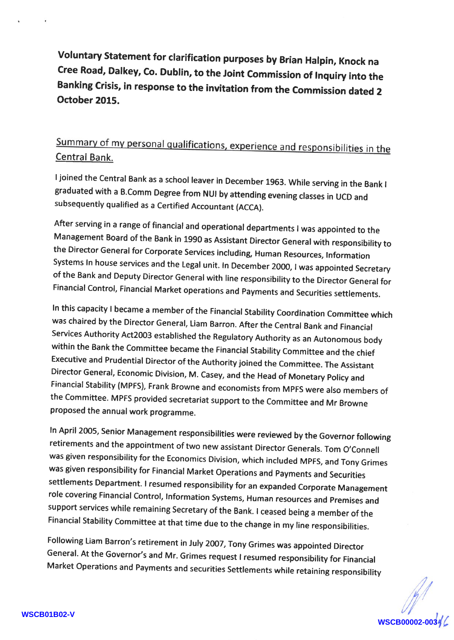Voluntary Statement for clarification purposes by Brian Halpin, Knock na cree Road, Dalkey, co. Dubtin, to the Joint commission of lnquiry into the Banking crisis, in response to the invitation from the commission dated <sup>2</sup> October 2015.

## Summary of my personal qualifications, experience and responsibilities in the Central Bank.

ljoined the central Bank as a school leaver in December 1963. while serving in the Bank <sup>I</sup> graduated with a B.comm Degree from NUI by attending evening classes in UCD and subsequently qualified as a Certified Accountant (ACCA).

After serving in a range of financial and operational departments I was appointed to the<br>Management Board of the Bank in 1990 as Assistant Director General with responsibility to the Director General for Corporate Services including, Human Resources, Information systems ln house services and the Legal unit. ln December 2000, t was appointed secretary of the Bank and Deputy Director General with line responsibility to the Director General for Financial control, Financial Market operations and payments and securities settlements.

In this capacity I became a member of the Financial Stability Coordination Committee which was chaired by the Director General, Liam Barron. After the Central Bank and Financial<br>Services Authority Act2003 established the Regulatory Authority as an Autonomous body within the Bank the Committee became the Financial Stability Committee and the chief Executive and Prudentiat Director of the Authority joined the committee. The Assistant Director General, Economic Division, M. casey, and the Head of Monetary policy and the Committee. MPFS provided secretariat support to the Committee and Mr Browne proposed the annual work programme.

In April 2005, Senior Management responsibilities were reviewed by the Governor following retirements and the appointment of two new assistant Director Generals. Tom O'Connell was given responsibility for the Economics Division, which included MpFS, and Tony Grimes was given responsibility for Financial Market operations and payments and securities settlements Department. I resumed responsibility for an expanded Corporate Management role covering Financial control, lnformation Systems, Human resources and premises and support services while remaining secretary of the Bank. I ceased being a member of the Financial stability committee at that time due to the change in my line responsibilities.

Following Liam Barron's retirement in July 2oo7,Tony Grimes was appointed Director General. At the Governor's and Mr. Grimes request I resumed responsibility for Financial Market operations and Payments and securities settlements while retaining responsibitity

**WSCB00002-003**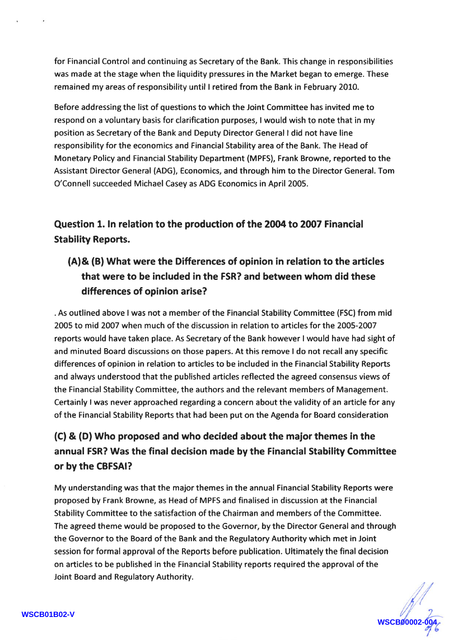for Financial Control and continuing as Secretary of the Bank. This change in responsibilities was made at the stage when the liquidity pressures in the Market began to emerge. These remained my areas of responsibility until I retired from the Bank in February 2010.

Before addressing the list of questions to which the Joint Committee has invited me to respond on a voluntary basis for clarification purposes, I would wish to note that in my position as Secretary of the Bank and Deputy Director General I did not have line responsibility for the economics and Financial Stability area of the Bank. The Head of Monetary Policy and Financial Stability Department (MPFS), Frank Browne, reported to the Assistant Director General (ADG), Economics, and through him to the Director General. Tom O'Connell succeeded Michael Casey as ADG Economics in April 2005.

Question 1. In relation to the production of the 2004 to 2007 Financial Stability Reports.

#### (A)& (B) What were the Differences of opinion in relation to the articles that were to be included in the FSR? and between whom did these differences of opinion arise?

. As outlined above I was not a member of the Financial Stability Committee (FSC) from mid 2005 to mid 2007 when much of the discussion in relation to articles for the 2OO5-2OO7 reports would have taken place. As Secretary of the Bank however I would have had sight of and minuted Board discussions on those papers. At this remove I do not recall any specific differences of opinion in relation to articles to be included in the Financial Stability Reports and always understood that the published articles reflected the agreed consensus views of the Financial Stability Committee, the authors and the relevant members of Management. Certainly I was never approached regarding a concern about the validity of an article for any of the Financial Stability Reports that had been put on the Agenda for Board consideration

#### (C) & (D) Who proposed and who decided about the major themes in the annual FSR? Was the final decision made by the Financial Stability Committee or by the CBFSAI?

My understanding was that the major themes in the annual Financial Stability Reports were proposed by Frank Browne, as Head of MPFS and finalised in discussion at the Financial Stability Committee to the satisfaction of the Chairman and members of the Committee. The agreed theme would be proposed to the Governor, by the Director General and through the Governor to the Board of the Bank and the Regulatory Authority which met in Joint session for formal approval of the Reports before publication. Ultimately the final decision on articles to be published in the Financial Stability reports required the approval of the Joint Board and Regulatory Authority.

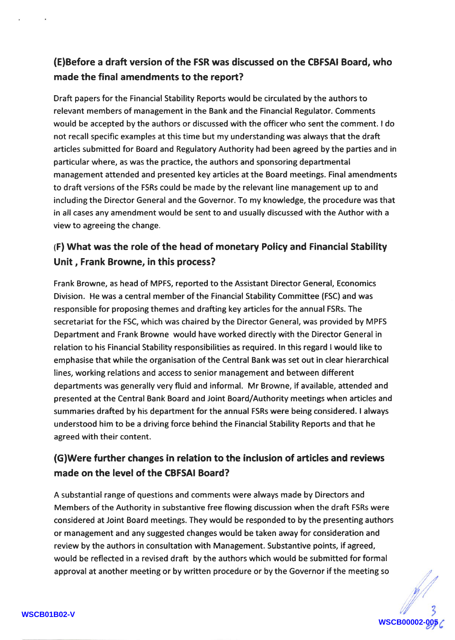#### (E)Before a draft version of the FSR was discussed on the CBFSAT Board, who made the final amendments to the report?

Draft papers for the Financial Stability Reports would be circulated by the authors to relevant members of management in the Bank and the Financial Regulator. Comments would be accepted by the authors or discussed with the officer who sent the comment. I do not recall specific examples at this time but my understanding was always that the draft articles submitted for Board and Regulatory Authority had been agreed by the parties and in particular where, as was the practice, the authors and sponsoring departmental management attended and presented key articles at the Board meetings. Final amendments to draft versions of the FSRs could be made by the relevant line management up to and including the Director General and the Governor. To my knowledge, the procedure was that in all cases any amendment would be sent to and usually discussed with the Author with a view to agreeing the change.

#### (F) What was the role of the head of monetary Policy and Financial Stability Unit, Frank Browne, in this process?

Frank Browne, as head of MPFS, reported to the Assistant Director General, Economics Division. He was a central member of the Financial Stability Committee (FSC) and was responsible for proposing themes and drafting key articles for the annual FSRs. The secretariat for the FSC, which was chaired by the Director General, was provided by MPFS Department and Frank Browne would have worked directly with the Director General in relation to his Financial Stability responsibilities as required. ln this regard I would like to emphasise that while the organisation of the Central Bank was set out in clear hierarchical lines, working relations and access to senior management and between different departments was generally very fluid and informal. Mr Browne, if available, attended and presented at the Central Bank Board and Joint Board/Authority meetings when articles and summaries drafted by his department for the annual FSRs were being considered. I always understood him to be a driving force behind the Financial Stability Reports and that he agreed with their content.

#### (GlWere further changes in relation to the inclusion of articles and reviews made on the level of the CBFSAI Board?

A substantial range of questions and comments were always made by Directors and Members of the Authority in substantive free flowing discussion when the draft FSRs were considered at Joint Board meetings. They would be responded to by the presenting authors or management and any suggested changes would be taken away for consideration and review by the authors in consultation with Management. Substantive points, if agreed, would be reflected in a revised draft by the authors which would be submitted for formal approval at another meeting or by written procedure or by the Governor if the meeting so

**WSCB00002-005**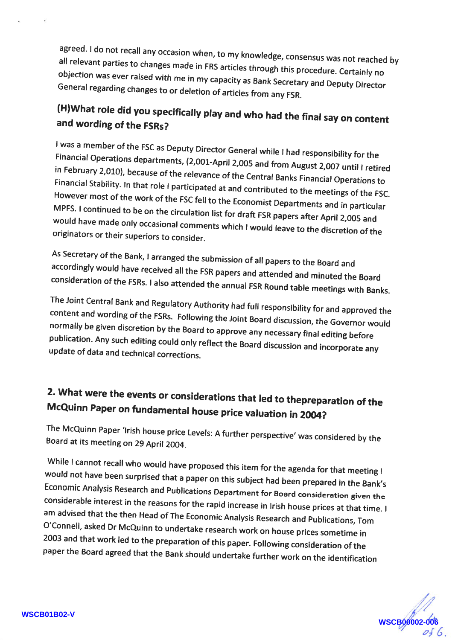all relevant parties agreed. I do agreed. I do not recall any occasion when, to my knowledge, consensus was not reached by<br>all relevant parties to changes made in FRS articles through this procedure. Certainly no<br>objection was ever raised with me in my can General regarding changes to or deletion of articles from any FSR. objection was ever raised with me in my capacity as Bank Secretary and Deputy Director

# (H)What role did you specifically play and who had the final say on content and wording of the FSRs?

I was a member of the FSC as Deputy Director General while I had responsibility for the<br>Financial Operations departments, (2,001-April 2,005 and from August 2,007 until I retired<br>in February 2,010), because of the relevanc However most of the work of the FSC fell to the Economist Departments and in particular<br>MPFS. I continued to be on the circulation list for draft FSR papers after April 2,005 would have made only occasional comments which I would leave to the discretion of the<br>originators or their superiors to consider. MPFS. I continued to be on the circulation list for draft FSR papers after April 2,005 and originators or their superiors to consider.

As Secretary of the Bank, I arranged the submission of all papers to the Board and<br>accordingly would have received all the FSR papers and attended and minuted the Board<br>consideration of the FSRs. I also attended the annual

content and wording of the FSRs. Following the Joint Board discussion, the Governor would<br>normally be given discretion by the Board to approve any necessary final editing before update of data and technical corrections. publication. Any such editing could only reflect the Board discussion and incorporate any

# 2. What were the events or considerations that led to thepreparation of the McQuinn Paper on fundamental house price valuation in 2004?

The McQuinn Paper 'Irish house price Levels: A further perspective' was considered by the<br>Board at its meeting on 29 April 2004. Board at its meeting on 29 April 2004.

While I cannot recall who would have proposed this item for the agenda for that meeting I would would not have been surprised that a paper on this subject had been prepared in the Bank's<br>Economic Analysis Research and Publications Department for Board consideration given the<br>considerable interest in the reasons for t considerable interest in the reasons for the rapid increase in Irish house prices at that time. I<br>am advised that the then Head of The Economic Analysis Research and Publications, Tom<br>O'Connell, asked Dr McQuinn to underta

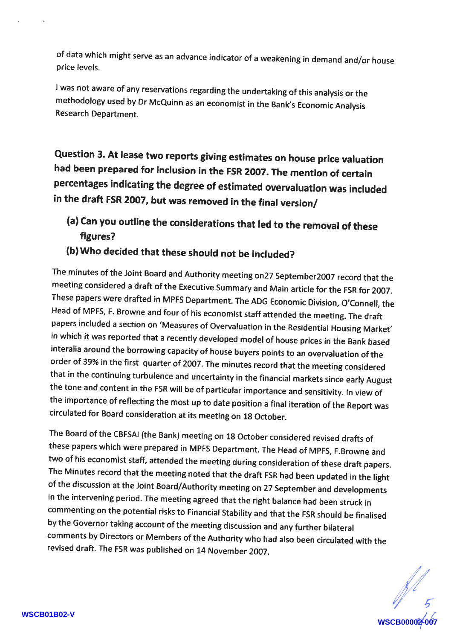of data which might serve as an advance indicator of a weakening in demand and/orhouse price levels.

<sup>I</sup>was not aware of any reservations regarding the undertaking of this analysis or the methodology used by Dr McQuinn as an economist in the Bank's Economic Analysis Research Department.

Question 3. At lease two reports giving estimates on house price valuation had been prepared for inclusion in the FSR 2007. The mention of certain percentages indicating the degree of estimated overvaluation was included in the draft FsR 2007, but was removed in the final version/

- (a) Can you outline the considerations that led to the removal of these figures?
- (b) Who decided that these should not be included?

The minutes of the Joint Board and Authority meeting on27 september2007 record that the meeting considered a draft of the Executive summary and Main article for the FSR for 2oo7. These papers were drafted in MPFS Department. The ADG Economic Division, O'Connell, the Head of MPFs, F. Browne and four of his economist staff attended the meeting. The draft papers included a section on 'Measures of Overvaluation in the Residential Housing Market' in which it was reported that a recently developed model of house prices in the Bank based interalia around the borrowing capacity of house buyers points to an overvaluation of the order of 39% in the first quarter of 2007. The minutes record that the meeting considered that in the continuing turbulence and uncertainty in the financial markets since early August the tone and content in the FSR will be of particular importance and sensitivity. ln view of the importance of reflecting the most up to date position a final iteration of the Report was circulated for Board consideration at its meeting on 18 October.

The Board of the CBFSAI (the Bank) meeting on 18 october considered revised drafts of these papers which were prepared in MPFS Department. The Head of MpFs, F.Browne and two of his economist staff, attended the meeting during consideration of these draft papers. The Minutes record that the meeting noted that the draft FSR had been updated in the light of the discussion at the Joint Board/Authority meeting on 27 september and developments in the intervening period. The meeting agreed that the right balance had been struck in commenting on the potential risks to Financial stability and that the FsR should be finalised by the Governor taking account of the meeting discussion and any further bilaterat comments by Directors or Members of the Authority who had also been circulated with the revised draft. The FSR was published on 14 November 2007.

**WEB000**